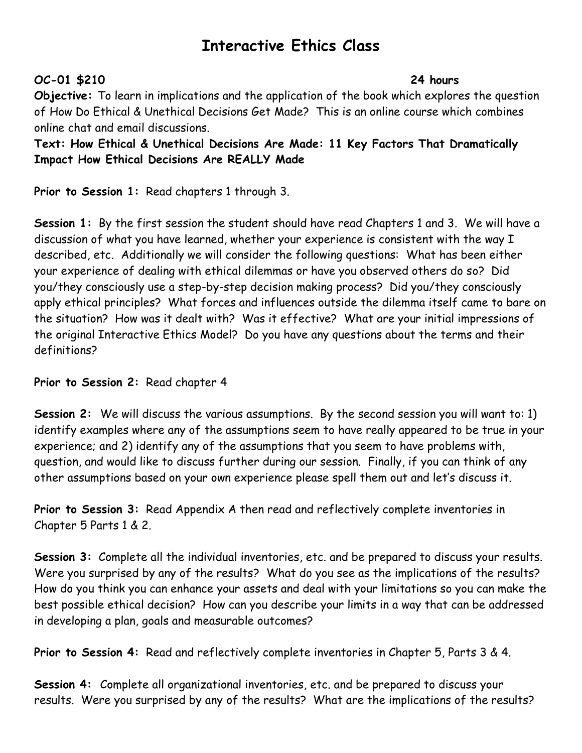## **Interactive Ethics Class**

## **OC-01 \$210 24 hours**

**Objective:** To learn in implications and the application of the book which explores the question of How Do Ethical & Unethical Decisions Get Made? This is an online course which combines online chat and email discussions.

**Text: How Ethical & Unethical Decisions Are Made: 11 Key Factors That Dramatically Impact How Ethical Decisions Are REALLY Made**

**Prior to Session 1:** Read chapters 1 through 3.

**Session 1:** By the first session the student should have read Chapters 1 and 3. We will have a discussion of what you have learned, whether your experience is consistent with the way I described, etc. Additionally we will consider the following questions: What has been either your experience of dealing with ethical dilemmas or have you observed others do so? Did you/they consciously use a step-by-step decision making process? Did you/they consciously apply ethical principles? What forces and influences outside the dilemma itself came to bare on the situation? How was it dealt with? Was it effective? What are your initial impressions of the original Interactive Ethics Model? Do you have any questions about the terms and their definitions?

**Prior to Session 2:** Read chapter 4

**Session 2:** We will discuss the various assumptions. By the second session you will want to: 1) identify examples where any of the assumptions seem to have really appeared to be true in your experience; and 2) identify any of the assumptions that you seem to have problems with, question, and would like to discuss further during our session. Finally, if you can think of any other assumptions based on your own experience please spell them out and let's discuss it.

**Prior to Session 3:** Read Appendix A then read and reflectively complete inventories in Chapter 5 Parts 1 & 2.

**Session 3:** Complete all the individual inventories, etc. and be prepared to discuss your results. Were you surprised by any of the results? What do you see as the implications of the results? How do you think you can enhance your assets and deal with your limitations so you can make the best possible ethical decision? How can you describe your limits in a way that can be addressed in developing a plan, goals and measurable outcomes?

**Prior to Session 4:** Read and reflectively complete inventories in Chapter 5, Parts 3 & 4.

**Session 4:** Complete all organizational inventories, etc. and be prepared to discuss your results. Were you surprised by any of the results? What are the implications of the results?